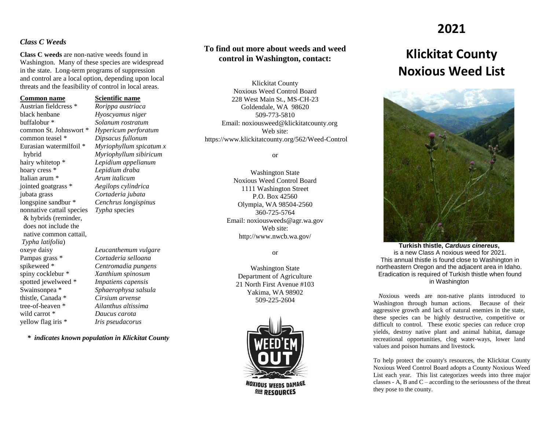#### *Class C Weeds*

**Class C weeds** are non-native weeds found in Washington. Many of these species are widespread in the state. Long-term programs of suppression and control are a local option, depending upon local threats and the feasibility of control in local areas.

#### **Common name Scientific name**

Austrian fieldcress \* *Rorippa austriaca* black henbane *Hyoscyamus niger* buffalobur \* *Solanum rostratum* common teasel \* *Dipsacus fullonum* hairy whitetop \* *Lepidium appelianum* hoary cress \* *Lepidium draba* Italian arum \* *Arum italicum* jointed goatgrass \* *Aegilops cylindrica* jubata grass *Cortaderia jubata* longspine sandbur \* *Cenchrus longispinus* nonnative cattail species *Typha* species & hybrids (reminder, does not include the native common cattail, *Typha latifolia*) Pampas grass \* *Cortaderia selloana* spikeweed \* *Centromadia pungens* spiny cocklebur \* *Xanthium spinosum* spotted jewelweed \* *Impatiens capensis* Swainsonpea \* *Sphaerophysa salsula* thistle, Canada \* *Cirsium arvense* tree-of-heaven \* *Ailanthus altissima* wild carrot \* *Daucus carota* yellow flag iris \* *Iris pseudacorus*

common St. Johnswort \* *Hypericum perforatum* Eurasian watermilfoil \* *Myriophyllum spicatum x* hybrid *Myriophyllum sibiricum*

oxeye daisy *Leucanthemum vulgare*

*\* indicates known population in Klickitat County*

## **To find out more about weeds and weed control in Washington, contact:**

Klickitat County Noxious Weed Control Board 228 West Main St., MS-CH-23 Goldendale, WA 98620 509-773-5810 Email: noxiousweed@klickitatcounty.org Web site: https://www.klickitatcounty.org/562/Weed-Control

or

Washington State Noxious Weed Control Board 1111 Washington Street P.O. Box 42560 Olympia, WA 98504-2560 360-725-5764 Email: noxiousweeds@agr.wa.gov Web site: http://www.nwcb.wa.gov/

or

Washington State Department of Agriculture 21 North First Avenue #103 Yakima, WA 98902 509-225-2604



## **2021**

# **Klickitat County Noxious Weed List**



**Turkish thistle,** *Carduus cinereus***,** is a new Class A noxious weed for 2021. This annual thistle is found close to Washington in northeastern Oregon and the adjacent area in Idaho. Eradication is required of Turkish thistle when found in Washington

 *N*oxious weeds are non-native plants introduced to Washington through human actions. Because of their aggressive growth and lack of natural enemies in the state, these species can be highly destructive, competitive or difficult to control. These exotic species can reduce crop yields, destroy native plant and animal habitat, damage recreational opportunities, clog water-ways, lower land values and poison humans and livestock.

To help protect the county's resources, the Klickitat County Noxious Weed Control Board adopts a County Noxious Weed List each year. This list categorizes weeds into three major classes - A, B and C – according to the seriousness of the threat they pose to the county.